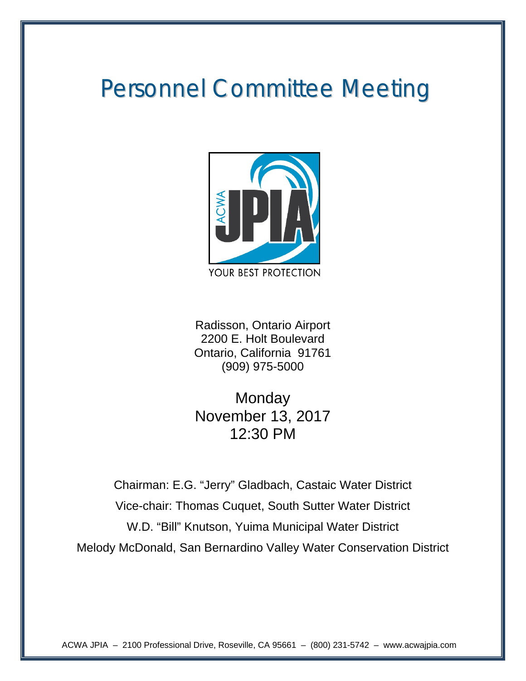# Personnel Committee Meeting



Radisson, Ontario Airport 2200 E. Holt Boulevard Ontario, California 91761 (909) 975-5000

**Monday** November 13, 2017 12:30 PM

Chairman: E.G. "Jerry" Gladbach, Castaic Water District Vice-chair: Thomas Cuquet, South Sutter Water District W.D. "Bill" Knutson, Yuima Municipal Water District Melody McDonald, San Bernardino Valley Water Conservation District

ACWA JPIA – 2100 Professional Drive, Roseville, CA 95661 – (800) 231-5742 – www.acwajpia.com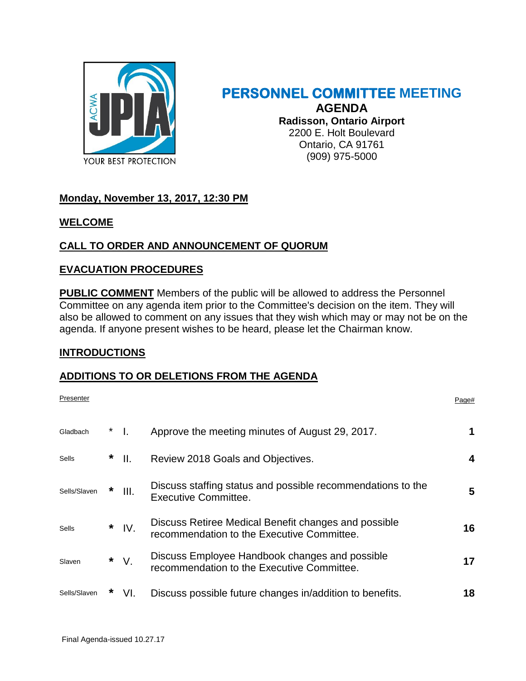

# **PERSONNEL COMMITTEE MEETING AGENDA Radisson, Ontario Airport** 2200 E. Holt Boulevard Ontario, CA 91761 (909) 975-5000

# **Monday, November 13, 2017, 12:30 PM**

### **WELCOME**

# **CALL TO ORDER AND ANNOUNCEMENT OF QUORUM**

# **EVACUATION PROCEDURES**

**PUBLIC COMMENT** Members of the public will be allowed to address the Personnel Committee on any agenda item prior to the Committee's decision on the item. They will also be allowed to comment on any issues that they wish which may or may not be on the agenda. If anyone present wishes to be heard, please let the Chairman know.

# **INTRODUCTIONS**

# **ADDITIONS TO OR DELETIONS FROM THE AGENDA**

| Presenter    |   |                  |                                                                                                    | Page# |
|--------------|---|------------------|----------------------------------------------------------------------------------------------------|-------|
| Gladbach     |   | $^*$ 1.          | Approve the meeting minutes of August 29, 2017.                                                    |       |
| Sells        | * | H.               | Review 2018 Goals and Objectives.                                                                  | 4     |
| Sells/Slaven | * | $\mathbf{III}$ . | Discuss staffing status and possible recommendations to the<br>Executive Committee.                | 5     |
| Sells        | * | IV.              | Discuss Retiree Medical Benefit changes and possible<br>recommendation to the Executive Committee. | 16    |
| Slaven       | * | $V_{\cdot}$      | Discuss Employee Handbook changes and possible<br>recommendation to the Executive Committee.       | 17    |
| Sells/Slaven |   | VI.              | Discuss possible future changes in/addition to benefits.                                           | 18    |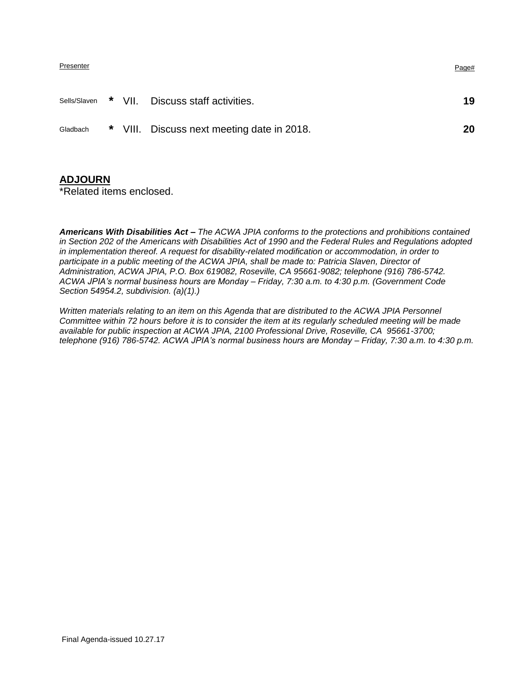| Presenter | Page# |
|-----------|-------|
|           |       |

|          |  | Sells/Slaven * VII. Discuss staff activities. | 19 |
|----------|--|-----------------------------------------------|----|
| Gladbach |  | * VIII. Discuss next meeting date in 2018.    | 20 |

### **ADJOURN**

\*Related items enclosed.

*Americans With Disabilities Act – The ACWA JPIA conforms to the protections and prohibitions contained in Section 202 of the Americans with Disabilities Act of 1990 and the Federal Rules and Regulations adopted in implementation thereof. A request for disability-related modification or accommodation, in order to participate in a public meeting of the ACWA JPIA, shall be made to: Patricia Slaven, Director of Administration, ACWA JPIA, P.O. Box 619082, Roseville, CA 95661-9082; telephone (916) 786-5742. ACWA JPIA's normal business hours are Monday – Friday, 7:30 a.m. to 4:30 p.m. (Government Code Section 54954.2, subdivision. (a)(1).)*

*Written materials relating to an item on this Agenda that are distributed to the ACWA JPIA Personnel Committee within 72 hours before it is to consider the item at its regularly scheduled meeting will be made available for public inspection at ACWA JPIA, 2100 Professional Drive, Roseville, CA 95661-3700; telephone (916) 786-5742. ACWA JPIA's normal business hours are Monday – Friday, 7:30 a.m. to 4:30 p.m.*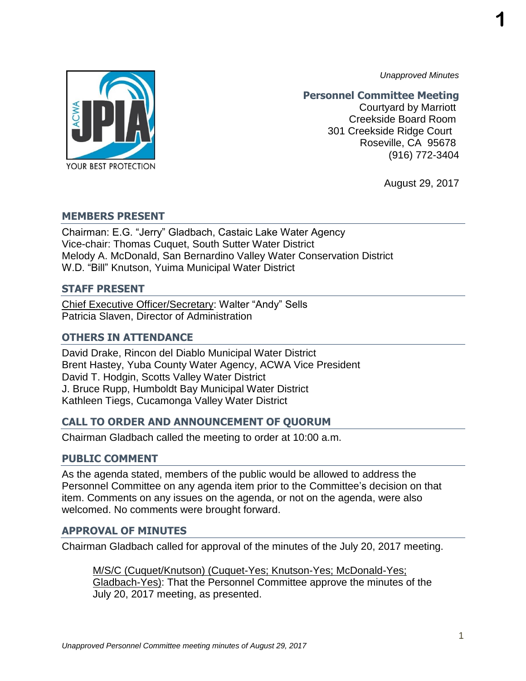**1**

*Unapproved Minutes*

# YOUR BEST PROTECTION

# **Personnel Committee Meeting**

Courtyard by Marriott Creekside Board Room 301 Creekside Ridge Court Roseville, CA 95678 (916) 772-3404

August 29, 2017

# **MEMBERS PRESENT**

Chairman: E.G. "Jerry" Gladbach, Castaic Lake Water Agency Vice-chair: Thomas Cuquet, South Sutter Water District Melody A. McDonald, San Bernardino Valley Water Conservation District W.D. "Bill" Knutson, Yuima Municipal Water District

# **STAFF PRESENT**

Chief Executive Officer/Secretary: Walter "Andy" Sells Patricia Slaven, Director of Administration

# **OTHERS IN ATTENDANCE**

David Drake, Rincon del Diablo Municipal Water District Brent Hastey, Yuba County Water Agency, ACWA Vice President David T. Hodgin, Scotts Valley Water District J. Bruce Rupp, Humboldt Bay Municipal Water District Kathleen Tiegs, Cucamonga Valley Water District

# **CALL TO ORDER AND ANNOUNCEMENT OF QUORUM**

Chairman Gladbach called the meeting to order at 10:00 a.m.

# **PUBLIC COMMENT**

As the agenda stated, members of the public would be allowed to address the Personnel Committee on any agenda item prior to the Committee's decision on that item. Comments on any issues on the agenda, or not on the agenda, were also welcomed. No comments were brought forward.

# **APPROVAL OF MINUTES**

Chairman Gladbach called for approval of the minutes of the July 20, 2017 meeting.

M/S/C (Cuquet/Knutson) (Cuquet-Yes; Knutson-Yes; McDonald-Yes; Gladbach-Yes): That the Personnel Committee approve the minutes of the July 20, 2017 meeting, as presented.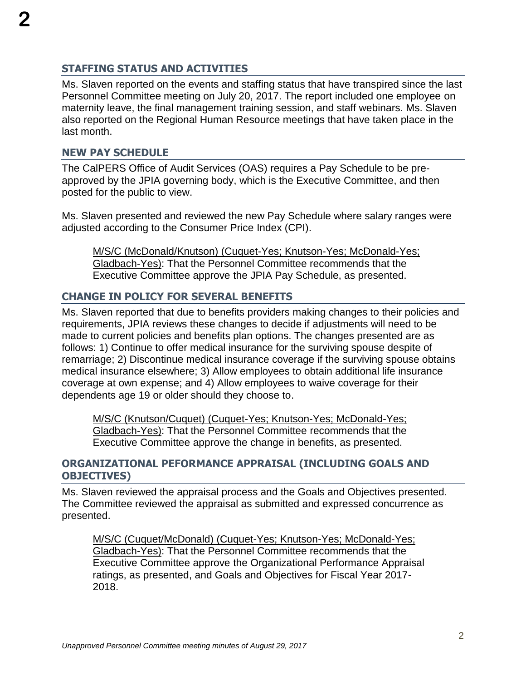# **STAFFING STATUS AND ACTIVITIES**

Ms. Slaven reported on the events and staffing status that have transpired since the last Personnel Committee meeting on July 20, 2017. The report included one employee on maternity leave, the final management training session, and staff webinars. Ms. Slaven also reported on the Regional Human Resource meetings that have taken place in the last month.

### **NEW PAY SCHEDULE**

The CalPERS Office of Audit Services (OAS) requires a Pay Schedule to be preapproved by the JPIA governing body, which is the Executive Committee, and then posted for the public to view.

Ms. Slaven presented and reviewed the new Pay Schedule where salary ranges were adjusted according to the Consumer Price Index (CPI).

M/S/C (McDonald/Knutson) (Cuquet-Yes; Knutson-Yes; McDonald-Yes; Gladbach-Yes): That the Personnel Committee recommends that the Executive Committee approve the JPIA Pay Schedule, as presented.

# **CHANGE IN POLICY FOR SEVERAL BENEFITS**

Ms. Slaven reported that due to benefits providers making changes to their policies and requirements, JPIA reviews these changes to decide if adjustments will need to be made to current policies and benefits plan options. The changes presented are as follows: 1) Continue to offer medical insurance for the surviving spouse despite of remarriage; 2) Discontinue medical insurance coverage if the surviving spouse obtains medical insurance elsewhere; 3) Allow employees to obtain additional life insurance coverage at own expense; and 4) Allow employees to waive coverage for their dependents age 19 or older should they choose to.

M/S/C (Knutson/Cuquet) (Cuquet-Yes; Knutson-Yes; McDonald-Yes; Gladbach-Yes): That the Personnel Committee recommends that the Executive Committee approve the change in benefits, as presented.

# **ORGANIZATIONAL PEFORMANCE APPRAISAL (INCLUDING GOALS AND OBJECTIVES)**

Ms. Slaven reviewed the appraisal process and the Goals and Objectives presented. The Committee reviewed the appraisal as submitted and expressed concurrence as presented.

M/S/C (Cuquet/McDonald) (Cuquet-Yes; Knutson-Yes; McDonald-Yes; Gladbach-Yes): That the Personnel Committee recommends that the Executive Committee approve the Organizational Performance Appraisal ratings, as presented, and Goals and Objectives for Fiscal Year 2017- 2018.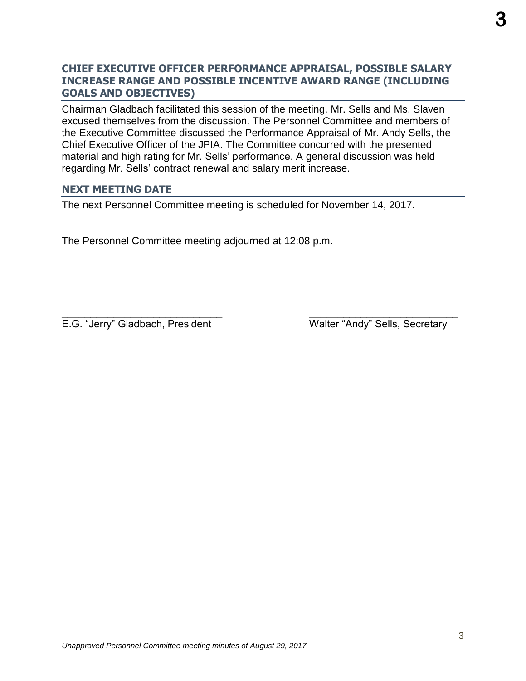# **CHIEF EXECUTIVE OFFICER PERFORMANCE APPRAISAL, POSSIBLE SALARY INCREASE RANGE AND POSSIBLE INCENTIVE AWARD RANGE (INCLUDING GOALS AND OBJECTIVES)**

Chairman Gladbach facilitated this session of the meeting. Mr. Sells and Ms. Slaven excused themselves from the discussion. The Personnel Committee and members of the Executive Committee discussed the Performance Appraisal of Mr. Andy Sells, the Chief Executive Officer of the JPIA. The Committee concurred with the presented material and high rating for Mr. Sells' performance. A general discussion was held regarding Mr. Sells' contract renewal and salary merit increase.

 $\overline{\phantom{a}}$  , and the contract of the contract of the contract of the contract of the contract of the contract of the contract of the contract of the contract of the contract of the contract of the contract of the contrac

# **NEXT MEETING DATE**

The next Personnel Committee meeting is scheduled for November 14, 2017.

The Personnel Committee meeting adjourned at 12:08 p.m.

E.G. "Jerry" Gladbach, President Walter "Andy" Sells, Secretary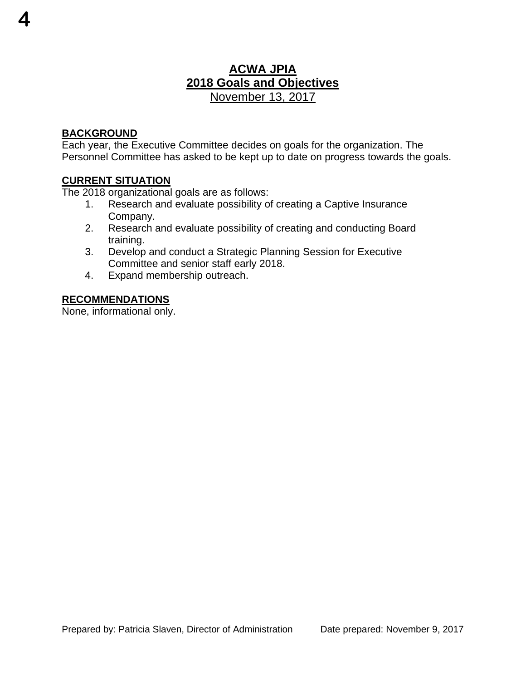# **ACWA JPIA 2018 Goals and Objectives**  November 13, 2017

# **BACKGROUND**

**4**

Each year, the Executive Committee decides on goals for the organization. The Personnel Committee has asked to be kept up to date on progress towards the goals.

# **CURRENT SITUATION**

The 2018 organizational goals are as follows:

- 1. Research and evaluate possibility of creating a Captive Insurance Company.
- 2. Research and evaluate possibility of creating and conducting Board training.
- 3. Develop and conduct a Strategic Planning Session for Executive Committee and senior staff early 2018.
- 4. Expand membership outreach.

# **RECOMMENDATIONS**

None, informational only.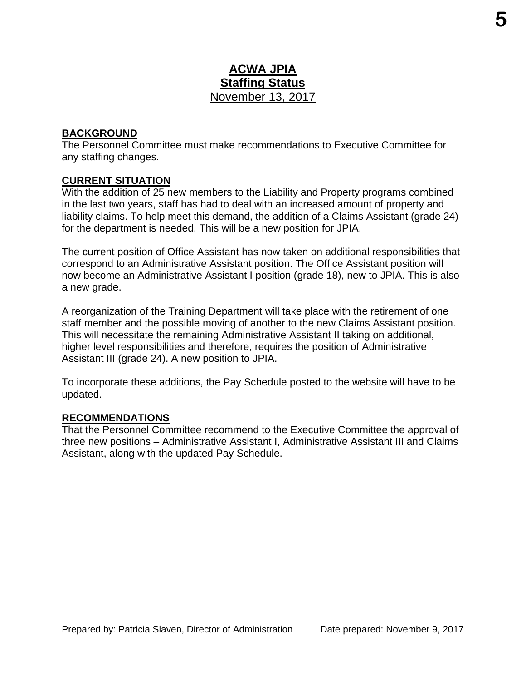# **ACWA JPIA Staffing Status**  November 13, 2017

# **BACKGROUND**

The Personnel Committee must make recommendations to Executive Committee for any staffing changes.

# **CURRENT SITUATION**

With the addition of 25 new members to the Liability and Property programs combined in the last two years, staff has had to deal with an increased amount of property and liability claims. To help meet this demand, the addition of a Claims Assistant (grade 24) for the department is needed. This will be a new position for JPIA.

The current position of Office Assistant has now taken on additional responsibilities that correspond to an Administrative Assistant position. The Office Assistant position will now become an Administrative Assistant I position (grade 18), new to JPIA. This is also a new grade.

A reorganization of the Training Department will take place with the retirement of one staff member and the possible moving of another to the new Claims Assistant position. This will necessitate the remaining Administrative Assistant II taking on additional, higher level responsibilities and therefore, requires the position of Administrative Assistant III (grade 24). A new position to JPIA.

To incorporate these additions, the Pay Schedule posted to the website will have to be updated.

# **RECOMMENDATIONS**

That the Personnel Committee recommend to the Executive Committee the approval of three new positions – Administrative Assistant I, Administrative Assistant III and Claims Assistant, along with the updated Pay Schedule.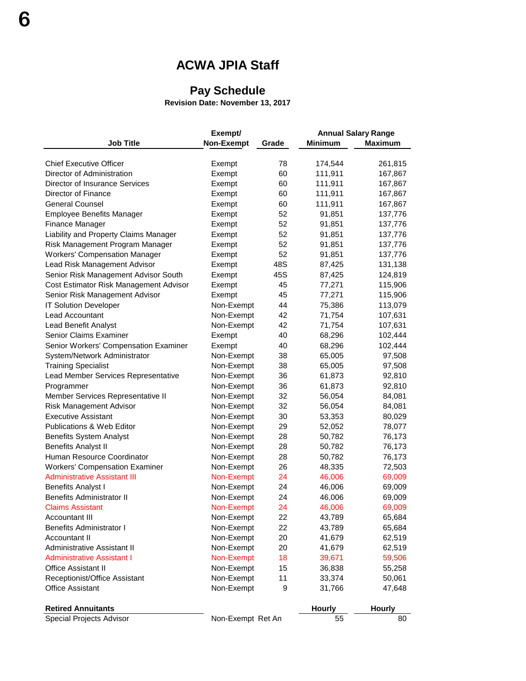# **ACWA JPIA Staff**

# **Pay Schedule**

**Revision Date: November 13, 2017**

|                                        | Exempt/           |       |                | <b>Annual Salary Range</b> |
|----------------------------------------|-------------------|-------|----------------|----------------------------|
| <b>Job Title</b>                       | Non-Exempt        | Grade | <b>Minimum</b> | <b>Maximum</b>             |
|                                        |                   |       |                |                            |
| <b>Chief Executive Officer</b>         | Exempt            | 78    | 174,544        | 261,815                    |
| Director of Administration             | Exempt            | 60    | 111,911        | 167,867                    |
| Director of Insurance Services         | Exempt            | 60    | 111,911        | 167,867                    |
| Director of Finance                    | Exempt            | 60    | 111,911        | 167,867                    |
| <b>General Counsel</b>                 | Exempt            | 60    | 111,911        | 167,867                    |
| <b>Employee Benefits Manager</b>       | Exempt            | 52    | 91,851         | 137,776                    |
| Finance Manager                        | Exempt            | 52    | 91,851         | 137,776                    |
| Liability and Property Claims Manager  | Exempt            | 52    | 91,851         | 137,776                    |
| Risk Management Program Manager        | Exempt            | 52    | 91,851         | 137,776                    |
| <b>Workers' Compensation Manager</b>   | Exempt            | 52    | 91,851         | 137,776                    |
| Lead Risk Management Advisor           | Exempt            | 48S   | 87,425         | 131,138                    |
| Senior Risk Management Advisor South   | Exempt            | 45S   | 87,425         | 124,819                    |
| Cost Estimator Risk Management Advisor | Exempt            | 45    | 77,271         | 115,906                    |
| Senior Risk Management Advisor         | Exempt            | 45    | 77,271         | 115,906                    |
| <b>IT Solution Developer</b>           | Non-Exempt        | 44    | 75,386         | 113,079                    |
| Lead Accountant                        | Non-Exempt        | 42    | 71,754         | 107,631                    |
| Lead Benefit Analyst                   | Non-Exempt        | 42    | 71,754         | 107,631                    |
| <b>Senior Claims Examiner</b>          | Exempt            | 40    | 68,296         | 102,444                    |
| Senior Workers' Compensation Examiner  | Exempt            | 40    | 68,296         | 102,444                    |
| System/Network Administrator           | Non-Exempt        | 38    | 65,005         | 97,508                     |
| <b>Training Specialist</b>             | Non-Exempt        | 38    | 65,005         | 97,508                     |
| Lead Member Services Representative    | Non-Exempt        | 36    | 61,873         | 92,810                     |
| Programmer                             | Non-Exempt        | 36    | 61,873         | 92,810                     |
| Member Services Representative II      | Non-Exempt        | 32    | 56,054         | 84,081                     |
| Risk Management Advisor                | Non-Exempt        | 32    | 56,054         | 84,081                     |
| <b>Executive Assistant</b>             | Non-Exempt        | 30    | 53,353         | 80,029                     |
| Publications & Web Editor              | Non-Exempt        | 29    | 52,052         | 78,077                     |
| <b>Benefits System Analyst</b>         | Non-Exempt        | 28    | 50,782         | 76,173                     |
| <b>Benefits Analyst II</b>             | Non-Exempt        | 28    | 50,782         | 76,173                     |
| Human Resource Coordinator             | Non-Exempt        | 28    | 50,782         | 76,173                     |
| <b>Workers' Compensation Examiner</b>  | Non-Exempt        | 26    | 48,335         | 72,503                     |
| <b>Administrative Assistant III</b>    | Non-Exempt        | 24    | 46,006         | 69,009                     |
| <b>Benefits Analyst I</b>              | Non-Exempt        | 24    | 46,006         | 69,009                     |
| <b>Benefits Administrator II</b>       | Non-Exempt        | 24    | 46,006         | 69,009                     |
| <b>Claims Assistant</b>                | Non-Exempt        | 24    | 46,006         | 69,009                     |
| <b>Accountant III</b>                  | Non-Exempt        | 22    | 43,789         | 65,684                     |
| Benefits Administrator I               | Non-Exempt        | 22    | 43,789         | 65,684                     |
| Accountant II                          | Non-Exempt        | 20    | 41,679         | 62,519                     |
| Administrative Assistant II            | Non-Exempt        | 20    | 41,679         | 62,519                     |
| <b>Administrative Assistant I</b>      | Non-Exempt        | 18    | 39,671         | 59,506                     |
| <b>Office Assistant II</b>             | Non-Exempt        | 15    | 36,838         | 55,258                     |
| Receptionist/Office Assistant          | Non-Exempt        | 11    | 33,374         | 50,061                     |
| <b>Office Assistant</b>                | Non-Exempt        | 9     | 31,766         | 47,648                     |
| <b>Retired Annuitants</b>              |                   |       | <b>Hourly</b>  | <b>Hourly</b>              |
| Special Projects Advisor               | Non-Exempt Ret An |       | 55             | 80                         |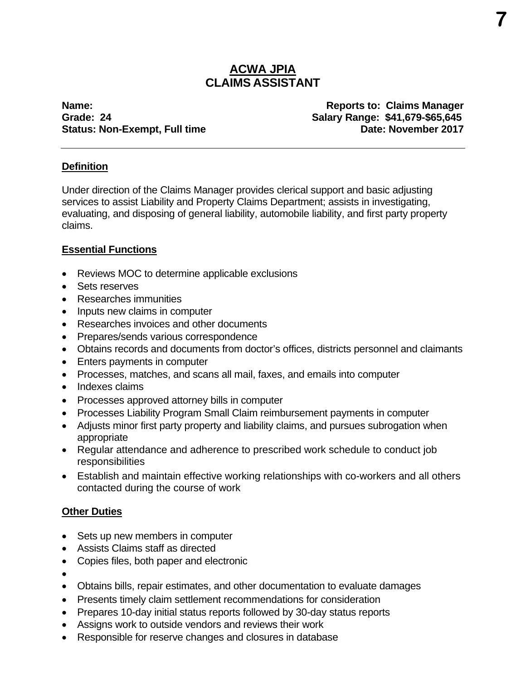# **ACWA JPIA CLAIMS ASSISTANT**

**Name:** Reports to: Claims Manager **Grade: 24 Salary Range: \$41,679-\$65,645 Status: Non-Exempt, Full time Constrained Bate: November 2017** 

# **Definition**

Under direction of the Claims Manager provides clerical support and basic adjusting services to assist Liability and Property Claims Department; assists in investigating, evaluating, and disposing of general liability, automobile liability, and first party property claims.

# **Essential Functions**

- Reviews MOC to determine applicable exclusions
- Sets reserves
- Researches immunities
- Inputs new claims in computer
- Researches invoices and other documents
- Prepares/sends various correspondence
- Obtains records and documents from doctor's offices, districts personnel and claimants
- Enters payments in computer
- Processes, matches, and scans all mail, faxes, and emails into computer
- Indexes claims
- Processes approved attorney bills in computer
- Processes Liability Program Small Claim reimbursement payments in computer
- Adjusts minor first party property and liability claims, and pursues subrogation when appropriate
- Regular attendance and adherence to prescribed work schedule to conduct job responsibilities
- Establish and maintain effective working relationships with co-workers and all others contacted during the course of work

# **Other Duties**

- Sets up new members in computer
- Assists Claims staff as directed
- Copies files, both paper and electronic
- $\bullet$
- Obtains bills, repair estimates, and other documentation to evaluate damages
- Presents timely claim settlement recommendations for consideration
- Prepares 10-day initial status reports followed by 30-day status reports
- Assigns work to outside vendors and reviews their work
- Responsible for reserve changes and closures in database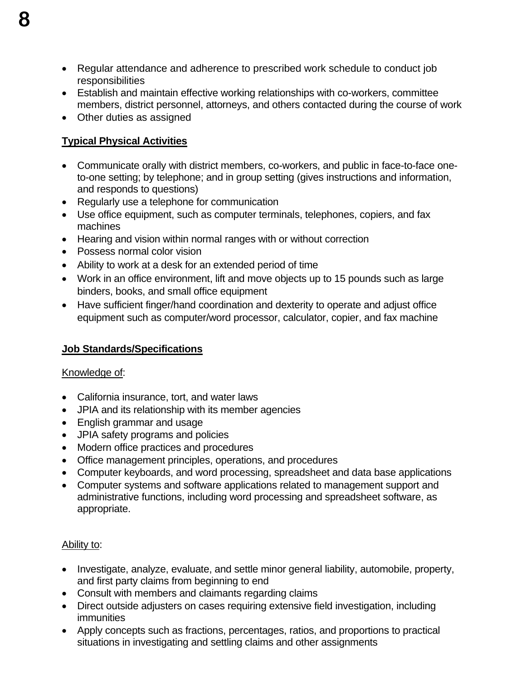- Regular attendance and adherence to prescribed work schedule to conduct job responsibilities
- Establish and maintain effective working relationships with co-workers, committee members, district personnel, attorneys, and others contacted during the course of work
- Other duties as assigned

# **Typical Physical Activities**

- Communicate orally with district members, co-workers, and public in face-to-face oneto-one setting; by telephone; and in group setting (gives instructions and information, and responds to questions)
- Regularly use a telephone for communication
- Use office equipment, such as computer terminals, telephones, copiers, and fax machines
- Hearing and vision within normal ranges with or without correction
- Possess normal color vision
- Ability to work at a desk for an extended period of time
- Work in an office environment, lift and move objects up to 15 pounds such as large binders, books, and small office equipment
- Have sufficient finger/hand coordination and dexterity to operate and adjust office equipment such as computer/word processor, calculator, copier, and fax machine

# **Job Standards/Specifications**

# Knowledge of:

- California insurance, tort, and water laws
- JPIA and its relationship with its member agencies
- English grammar and usage
- JPIA safety programs and policies
- Modern office practices and procedures
- Office management principles, operations, and procedures
- Computer keyboards, and word processing, spreadsheet and data base applications
- Computer systems and software applications related to management support and administrative functions, including word processing and spreadsheet software, as appropriate.

# Ability to:

- Investigate, analyze, evaluate, and settle minor general liability, automobile, property, and first party claims from beginning to end
- Consult with members and claimants regarding claims
- Direct outside adjusters on cases requiring extensive field investigation, including immunities
- Apply concepts such as fractions, percentages, ratios, and proportions to practical situations in investigating and settling claims and other assignments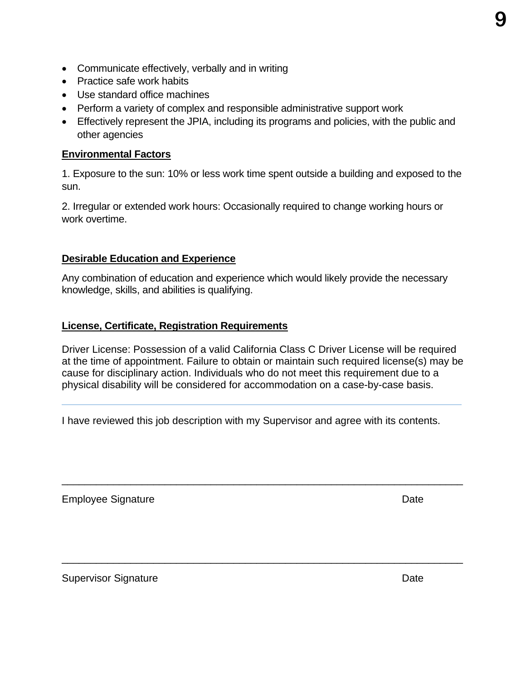- Communicate effectively, verbally and in writing
- Practice safe work habits
- Use standard office machines
- Perform a variety of complex and responsible administrative support work
- Effectively represent the JPIA, including its programs and policies, with the public and other agencies

# **Environmental Factors**

1. Exposure to the sun: 10% or less work time spent outside a building and exposed to the sun.

2. Irregular or extended work hours: Occasionally required to change working hours or work overtime.

# **Desirable Education and Experience**

Any combination of education and experience which would likely provide the necessary knowledge, skills, and abilities is qualifying.

# **License, Certificate, Registration Requirements**

Driver License: Possession of a valid California Class C Driver License will be required at the time of appointment. Failure to obtain or maintain such required license(s) may be cause for disciplinary action. Individuals who do not meet this requirement due to a physical disability will be considered for accommodation on a case-by-case basis.

\_\_\_\_\_\_\_\_\_\_\_\_\_\_\_\_\_\_\_\_\_\_\_\_\_\_\_\_\_\_\_\_\_\_\_\_\_\_\_\_\_\_\_\_\_\_\_\_\_\_\_\_\_\_\_\_\_\_\_\_\_\_\_\_\_\_\_\_\_\_

\_\_\_\_\_\_\_\_\_\_\_\_\_\_\_\_\_\_\_\_\_\_\_\_\_\_\_\_\_\_\_\_\_\_\_\_\_\_\_\_\_\_\_\_\_\_\_\_\_\_\_\_\_\_\_\_\_\_\_\_\_\_\_\_\_\_\_\_\_\_

I have reviewed this job description with my Supervisor and agree with its contents.

Employee Signature **Date** 

Supervisor Signature Date Date Contract and Date Date Date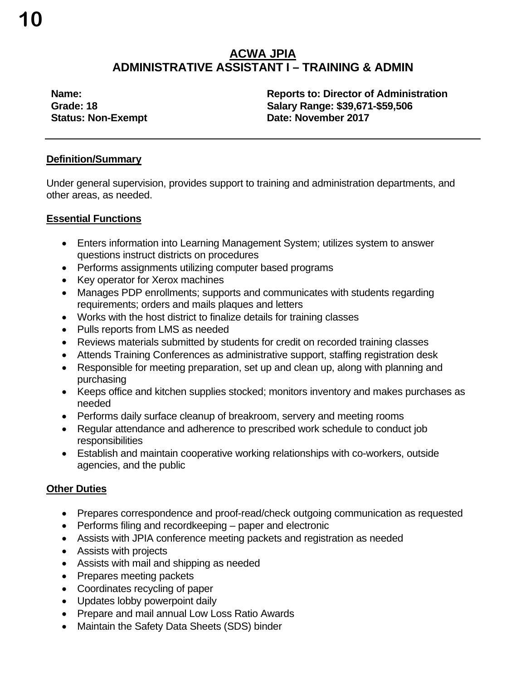# **ACWA JPIA ADMINISTRATIVE ASSISTANT I – TRAINING & ADMIN**

**Name: Reports to: Director of Administration Grade: 18 Salary Range: \$39,671-\$59,506 Status: Non-Exempt Date: November 2017** 

# **Definition/Summary**

Under general supervision, provides support to training and administration departments, and other areas, as needed.

# **Essential Functions**

- Enters information into Learning Management System; utilizes system to answer questions instruct districts on procedures
- Performs assignments utilizing computer based programs
- Key operator for Xerox machines
- Manages PDP enrollments; supports and communicates with students regarding requirements; orders and mails plaques and letters
- Works with the host district to finalize details for training classes
- Pulls reports from LMS as needed
- Reviews materials submitted by students for credit on recorded training classes
- Attends Training Conferences as administrative support, staffing registration desk
- Responsible for meeting preparation, set up and clean up, along with planning and purchasing
- Keeps office and kitchen supplies stocked; monitors inventory and makes purchases as needed
- Performs daily surface cleanup of breakroom, servery and meeting rooms
- Regular attendance and adherence to prescribed work schedule to conduct job responsibilities
- Establish and maintain cooperative working relationships with co-workers, outside agencies, and the public

# **Other Duties**

- Prepares correspondence and proof-read/check outgoing communication as requested
- Performs filing and recordkeeping paper and electronic
- Assists with JPIA conference meeting packets and registration as needed
- Assists with projects
- Assists with mail and shipping as needed
- Prepares meeting packets
- Coordinates recycling of paper
- Updates lobby powerpoint daily
- Prepare and mail annual Low Loss Ratio Awards
- Maintain the Safety Data Sheets (SDS) binder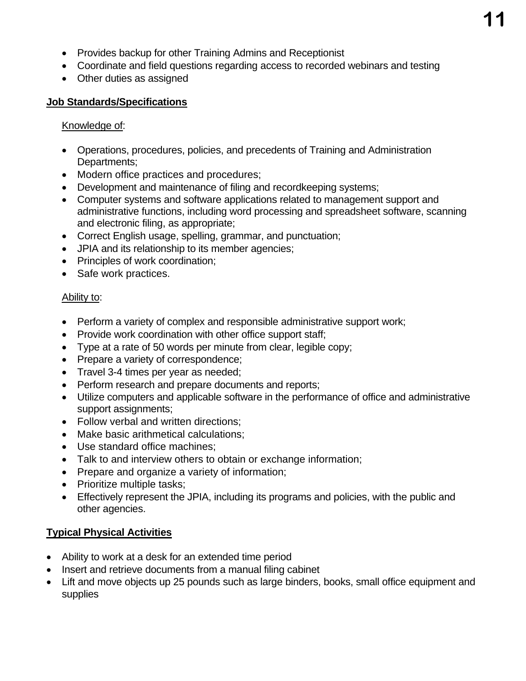- Provides backup for other Training Admins and Receptionist
- Coordinate and field questions regarding access to recorded webinars and testing
- Other duties as assigned

# **Job Standards/Specifications**

# Knowledge of:

- Operations, procedures, policies, and precedents of Training and Administration Departments;
- Modern office practices and procedures;
- Development and maintenance of filing and recordkeeping systems;
- Computer systems and software applications related to management support and administrative functions, including word processing and spreadsheet software, scanning and electronic filing, as appropriate;
- Correct English usage, spelling, grammar, and punctuation;
- JPIA and its relationship to its member agencies;
- Principles of work coordination;
- Safe work practices.

# Ability to:

- Perform a variety of complex and responsible administrative support work;
- Provide work coordination with other office support staff;
- Type at a rate of 50 words per minute from clear, legible copy;
- Prepare a variety of correspondence;
- Travel 3-4 times per year as needed;
- Perform research and prepare documents and reports;
- Utilize computers and applicable software in the performance of office and administrative support assignments;
- Follow verbal and written directions;
- Make basic arithmetical calculations;
- Use standard office machines:
- Talk to and interview others to obtain or exchange information;
- Prepare and organize a variety of information;
- Prioritize multiple tasks;
- Effectively represent the JPIA, including its programs and policies, with the public and other agencies.

# **Typical Physical Activities**

- Ability to work at a desk for an extended time period
- Insert and retrieve documents from a manual filing cabinet
- Lift and move objects up 25 pounds such as large binders, books, small office equipment and supplies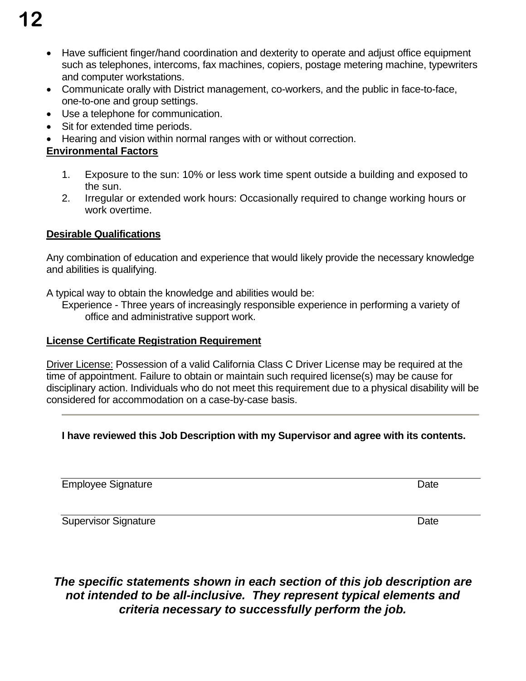- **12**
	- Have sufficient finger/hand coordination and dexterity to operate and adjust office equipment such as telephones, intercoms, fax machines, copiers, postage metering machine, typewriters and computer workstations.
	- Communicate orally with District management, co-workers, and the public in face-to-face, one-to-one and group settings.
	- Use a telephone for communication.
	- Sit for extended time periods.
	- Hearing and vision within normal ranges with or without correction.

# **Environmental Factors**

- 1. Exposure to the sun: 10% or less work time spent outside a building and exposed to the sun.
- 2. Irregular or extended work hours: Occasionally required to change working hours or work overtime.

# **Desirable Qualifications**

Any combination of education and experience that would likely provide the necessary knowledge and abilities is qualifying.

A typical way to obtain the knowledge and abilities would be:

Experience - Three years of increasingly responsible experience in performing a variety of office and administrative support work.

# **License Certificate Registration Requirement**

Driver License: Possession of a valid California Class C Driver License may be required at the time of appointment. Failure to obtain or maintain such required license(s) may be cause for disciplinary action. Individuals who do not meet this requirement due to a physical disability will be considered for accommodation on a case-by-case basis.

# **I have reviewed this Job Description with my Supervisor and agree with its contents.**

Employee Signature Date Date Contract and Date Date Date Date

Supervisor Signature Date Date Date

# *The specific statements shown in each section of this job description are not intended to be all-inclusive. They represent typical elements and criteria necessary to successfully perform the job.*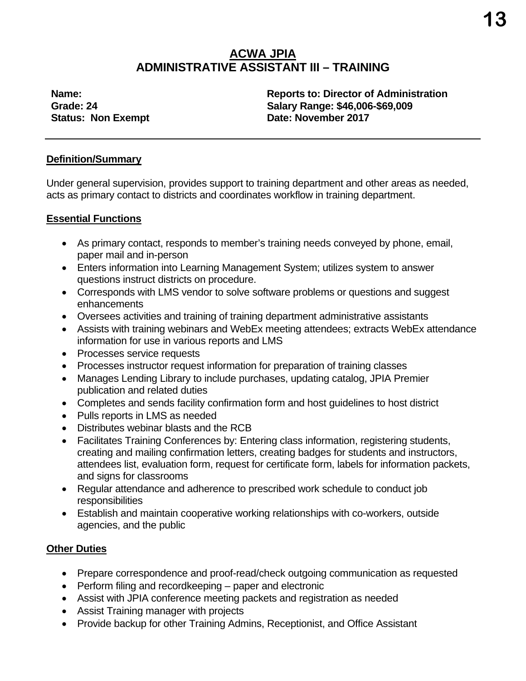# **ACWA JPIA ADMINISTRATIVE ASSISTANT III – TRAINING**

**Name: Reports to: Director of Administration Grade: 24 Salary Range: \$46,006-\$69,009 Status: Non Exempt Date: November 2017** 

# **Definition/Summary**

Under general supervision, provides support to training department and other areas as needed, acts as primary contact to districts and coordinates workflow in training department.

# **Essential Functions**

- As primary contact, responds to member's training needs conveyed by phone, email, paper mail and in-person
- Enters information into Learning Management System; utilizes system to answer questions instruct districts on procedure.
- Corresponds with LMS vendor to solve software problems or questions and suggest enhancements
- Oversees activities and training of training department administrative assistants
- Assists with training webinars and WebEx meeting attendees; extracts WebEx attendance information for use in various reports and LMS
- Processes service requests
- Processes instructor request information for preparation of training classes
- Manages Lending Library to include purchases, updating catalog, JPIA Premier publication and related duties
- Completes and sends facility confirmation form and host guidelines to host district
- Pulls reports in LMS as needed
- Distributes webinar blasts and the RCB
- Facilitates Training Conferences by: Entering class information, registering students, creating and mailing confirmation letters, creating badges for students and instructors, attendees list, evaluation form, request for certificate form, labels for information packets, and signs for classrooms
- Regular attendance and adherence to prescribed work schedule to conduct job responsibilities
- Establish and maintain cooperative working relationships with co-workers, outside agencies, and the public

# **Other Duties**

- Prepare correspondence and proof-read/check outgoing communication as requested
- Perform filing and recordkeeping paper and electronic
- Assist with JPIA conference meeting packets and registration as needed
- Assist Training manager with projects
- Provide backup for other Training Admins, Receptionist, and Office Assistant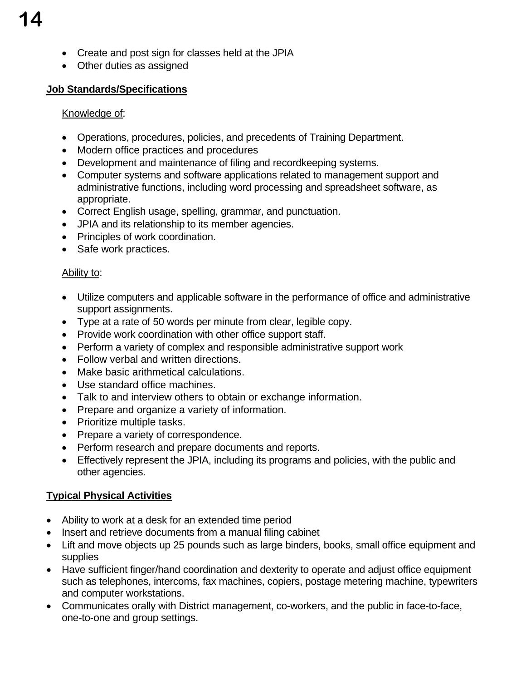- Create and post sign for classes held at the JPIA
- Other duties as assigned

# **Job Standards/Specifications**

# Knowledge of:

- Operations, procedures, policies, and precedents of Training Department.
- Modern office practices and procedures
- Development and maintenance of filing and recordkeeping systems.
- Computer systems and software applications related to management support and administrative functions, including word processing and spreadsheet software, as appropriate.
- Correct English usage, spelling, grammar, and punctuation.
- JPIA and its relationship to its member agencies.
- Principles of work coordination.
- Safe work practices.

# Ability to:

- Utilize computers and applicable software in the performance of office and administrative support assignments.
- Type at a rate of 50 words per minute from clear, legible copy.
- Provide work coordination with other office support staff.
- **Perform a variety of complex and responsible administrative support work**
- Follow verbal and written directions.
- Make basic arithmetical calculations.
- Use standard office machines.
- Talk to and interview others to obtain or exchange information.
- Prepare and organize a variety of information.
- Prioritize multiple tasks.
- Prepare a variety of correspondence.
- Perform research and prepare documents and reports.
- Effectively represent the JPIA, including its programs and policies, with the public and other agencies.

# **Typical Physical Activities**

- Ability to work at a desk for an extended time period
- Insert and retrieve documents from a manual filing cabinet
- Lift and move objects up 25 pounds such as large binders, books, small office equipment and supplies
- Have sufficient finger/hand coordination and dexterity to operate and adjust office equipment such as telephones, intercoms, fax machines, copiers, postage metering machine, typewriters and computer workstations.
- Communicates orally with District management, co-workers, and the public in face-to-face, one-to-one and group settings.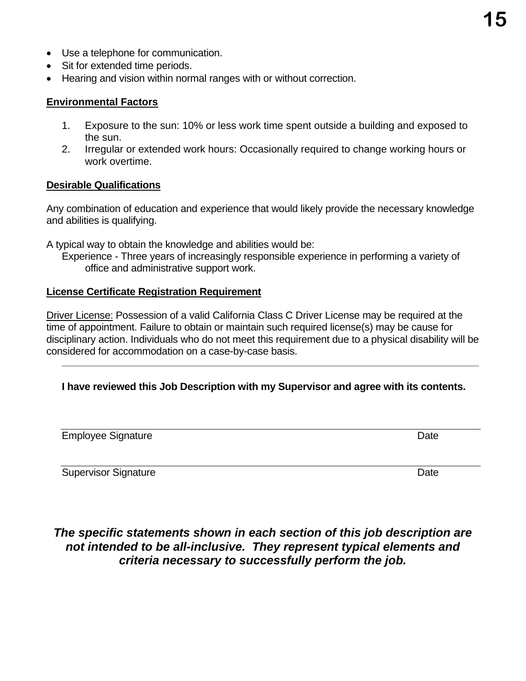- Use a telephone for communication.
- Sit for extended time periods.
- Hearing and vision within normal ranges with or without correction.

### **Environmental Factors**

- 1. Exposure to the sun: 10% or less work time spent outside a building and exposed to the sun.
- 2. Irregular or extended work hours: Occasionally required to change working hours or work overtime.

### **Desirable Qualifications**

Any combination of education and experience that would likely provide the necessary knowledge and abilities is qualifying.

A typical way to obtain the knowledge and abilities would be:

Experience - Three years of increasingly responsible experience in performing a variety of office and administrative support work.

### **License Certificate Registration Requirement**

Driver License: Possession of a valid California Class C Driver License may be required at the time of appointment. Failure to obtain or maintain such required license(s) may be cause for disciplinary action. Individuals who do not meet this requirement due to a physical disability will be considered for accommodation on a case-by-case basis.

# **I have reviewed this Job Description with my Supervisor and agree with its contents.**

Employee Signature Date

Supervisor Signature Date Date Contract and the Date Date Date Date Date

# *The specific statements shown in each section of this job description are not intended to be all-inclusive. They represent typical elements and criteria necessary to successfully perform the job.*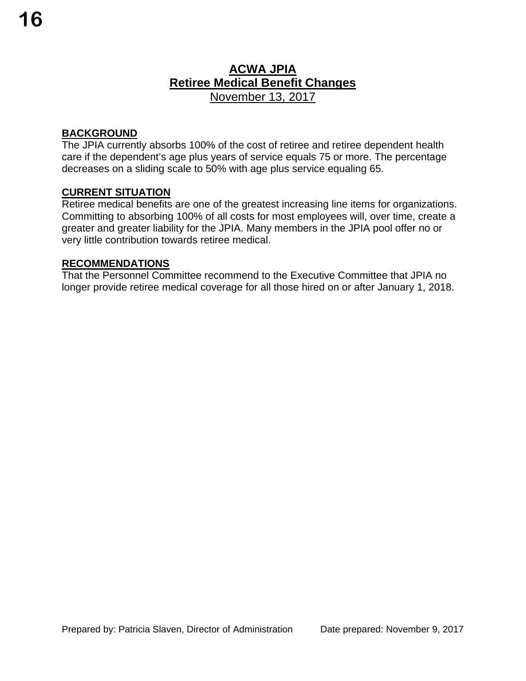# **BACKGROUND**

The JPIA currently absorbs 100% of the cost of retiree and retiree dependent health care if the dependent's age plus years of service equals 75 or more. The percentage decreases on a sliding scale to 50% with age plus service equaling 65.

# **CURRENT SITUATION**

Retiree medical benefits are one of the greatest increasing line items for organizations. Committing to absorbing 100% of all costs for most employees will, over time, create a greater and greater liability for the JPIA. Many members in the JPIA pool offer no or very little contribution towards retiree medical.

### **RECOMMENDATIONS**

That the Personnel Committee recommend to the Executive Committee that JPIA no longer provide retiree medical coverage for all those hired on or after January 1, 2018.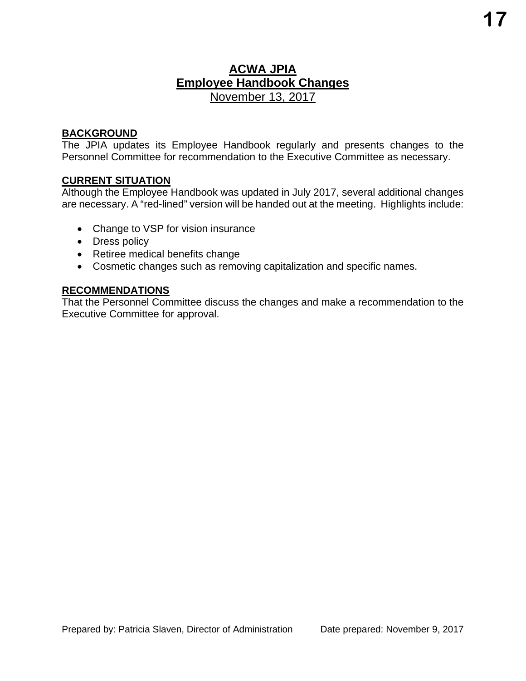# **ACWA JPIA Employee Handbook Changes**  November 13, 2017

### **BACKGROUND**

The JPIA updates its Employee Handbook regularly and presents changes to the Personnel Committee for recommendation to the Executive Committee as necessary.

# **CURRENT SITUATION**

Although the Employee Handbook was updated in July 2017, several additional changes are necessary. A "red-lined" version will be handed out at the meeting. Highlights include:

- Change to VSP for vision insurance
- Dress policy
- Retiree medical benefits change
- Cosmetic changes such as removing capitalization and specific names.

### **RECOMMENDATIONS**

That the Personnel Committee discuss the changes and make a recommendation to the Executive Committee for approval.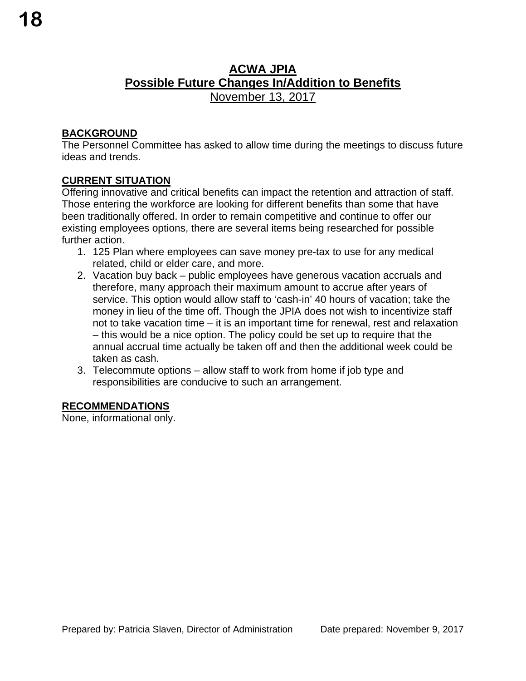# **ACWA JPIA Possible Future Changes In/Addition to Benefits**  November 13, 2017

# **BACKGROUND**

The Personnel Committee has asked to allow time during the meetings to discuss future ideas and trends.

# **CURRENT SITUATION**

Offering innovative and critical benefits can impact the retention and attraction of staff. Those entering the workforce are looking for different benefits than some that have been traditionally offered. In order to remain competitive and continue to offer our existing employees options, there are several items being researched for possible further action.

- 1. 125 Plan where employees can save money pre-tax to use for any medical related, child or elder care, and more.
- 2. Vacation buy back public employees have generous vacation accruals and therefore, many approach their maximum amount to accrue after years of service. This option would allow staff to 'cash-in' 40 hours of vacation; take the money in lieu of the time off. Though the JPIA does not wish to incentivize staff not to take vacation time – it is an important time for renewal, rest and relaxation – this would be a nice option. The policy could be set up to require that the annual accrual time actually be taken off and then the additional week could be taken as cash.
- 3. Telecommute options allow staff to work from home if job type and responsibilities are conducive to such an arrangement.

# **RECOMMENDATIONS**

None, informational only.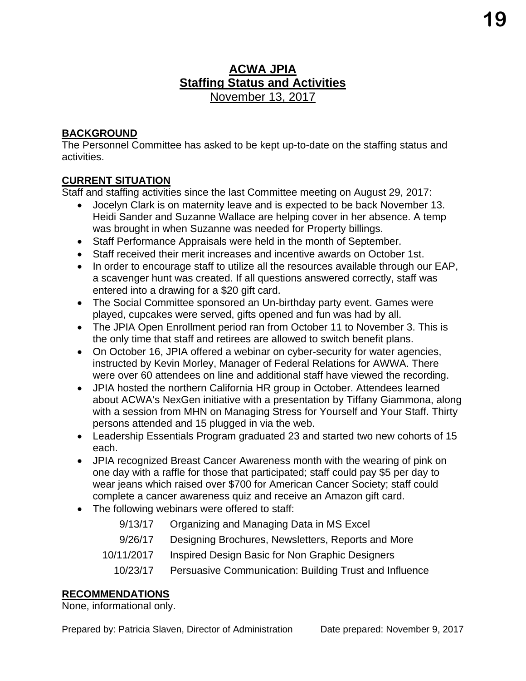# **ACWA JPIA Staffing Status and Activities**  November 13, 2017

# **BACKGROUND**

The Personnel Committee has asked to be kept up-to-date on the staffing status and activities.

# **CURRENT SITUATION**

Staff and staffing activities since the last Committee meeting on August 29, 2017:

- Jocelyn Clark is on maternity leave and is expected to be back November 13. Heidi Sander and Suzanne Wallace are helping cover in her absence. A temp was brought in when Suzanne was needed for Property billings.
- Staff Performance Appraisals were held in the month of September.
- Staff received their merit increases and incentive awards on October 1st.
- In order to encourage staff to utilize all the resources available through our EAP, a scavenger hunt was created. If all questions answered correctly, staff was entered into a drawing for a \$20 gift card.
- The Social Committee sponsored an Un-birthday party event. Games were played, cupcakes were served, gifts opened and fun was had by all.
- The JPIA Open Enrollment period ran from October 11 to November 3. This is the only time that staff and retirees are allowed to switch benefit plans.
- On October 16, JPIA offered a webinar on cyber-security for water agencies, instructed by Kevin Morley, Manager of Federal Relations for AWWA. There were over 60 attendees on line and additional staff have viewed the recording.
- JPIA hosted the northern California HR group in October. Attendees learned about ACWA's NexGen initiative with a presentation by Tiffany Giammona, along with a session from MHN on Managing Stress for Yourself and Your Staff. Thirty persons attended and 15 plugged in via the web.
- Leadership Essentials Program graduated 23 and started two new cohorts of 15 each.
- JPIA recognized Breast Cancer Awareness month with the wearing of pink on one day with a raffle for those that participated; staff could pay \$5 per day to wear jeans which raised over \$700 for American Cancer Society; staff could complete a cancer awareness quiz and receive an Amazon gift card.
- The following webinars were offered to staff:
	- 9/13/17 Organizing and Managing Data in MS Excel
	- 9/26/17 Designing Brochures, Newsletters, Reports and More
	- 10/11/2017 Inspired Design Basic for Non Graphic Designers
	- 10/23/17 Persuasive Communication: Building Trust and Influence

# **RECOMMENDATIONS**

None, informational only.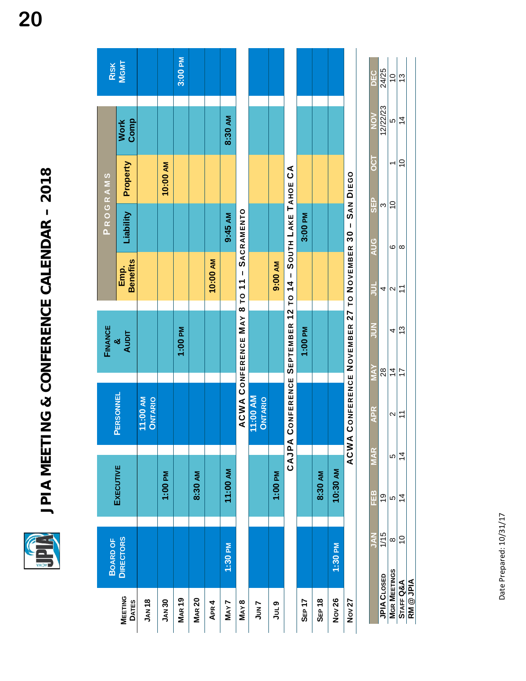É

JPIA MEETING & CONFERENCE CALENDAR - 2018 **JPIA MEETING & CONFERENCE CALENDAR – 2018** 

|                 | RISK<br>MGMT            |                     |               | 3:00 PM       |               |          |          |                                          |                           |          |                                                           |         |         |          |                                                  |
|-----------------|-------------------------|---------------------|---------------|---------------|---------------|----------|----------|------------------------------------------|---------------------------|----------|-----------------------------------------------------------|---------|---------|----------|--------------------------------------------------|
|                 | Work<br>Comp            |                     |               |               |               |          | 8:30 AM  |                                          |                           |          |                                                           |         |         |          |                                                  |
| PROGRAMS        | Property                |                     | 10:00 AM      |               |               |          |          |                                          |                           |          |                                                           |         |         |          |                                                  |
|                 | Liability               |                     |               |               |               |          | 9:45 AM  |                                          |                           |          |                                                           | 3:00 PM |         |          |                                                  |
|                 | <b>Benefits</b><br>Emp. |                     |               |               |               | 10:00 AM |          |                                          |                           | 9:00 AM  |                                                           |         |         |          |                                                  |
| FINANCE         | <b>AUDIT</b><br>ಠ       |                     |               | 1:00 PM       |               |          |          | ACWA CONFERENCE MAY 8 TO 11 - SACRAMENTO |                           |          |                                                           | 1:00 PM |         |          | ONFERENCE NOVEMBER 27 TO NOVEMBER 30 - SAN DIEGO |
|                 | PERSONNEL               | 11:00 AM<br>ONTARIO |               |               |               |          |          |                                          | 1:00 AM<br><b>ONTARIO</b> |          | CAJPA CONFERENCE SEPTEMBER 12 TO 14 - SOUTH LAKE TAHOE CA |         |         |          | <b>O ANAC</b>                                    |
|                 | <b>EXECUTIVE</b>        |                     | 1:00 PM       |               | 8:30 AM       |          | 11:00 AM |                                          |                           | 1:00 PM  |                                                           |         | 8:30 AM | 10:30 AM |                                                  |
| <b>BOARD OF</b> | <b>DIRECTORS</b>        |                     |               |               |               |          | 1:30 PM  |                                          |                           |          |                                                           |         |         | 1:30 PM  |                                                  |
|                 | MEETING<br>DATES        | <b>JAN 18</b>       | <b>JAN 30</b> | <b>MAR 19</b> | <b>MAR 20</b> | APR 4    | MAY7     | <b>MAY8</b>                              | JUN7                      | o<br>Jul |                                                           | SEP 17  | SEP 18  | Nov 26   | <b>Nov 27</b>                                    |

|                    | Z<br>S   | m<br>⊞  | <b>MAR</b> | APR<br>K       | ΧΥΜ            | ろう | $\frac{1}{2}$ | <b>AUG</b> | <u>၉</u><br>၁၉                   | —<br>O | ⋝<br>20         | ں<br>20<br>20 |
|--------------------|----------|---------|------------|----------------|----------------|----|---------------|------------|----------------------------------|--------|-----------------|---------------|
| CLOSED<br>Í<br>i   | ļ<br>C L | ¢<br>ת  |            |                | 88             |    | 1             |            | ω                                |        | ה/הה/ה<br>21277 | 24/25         |
| ပ္ပ<br>į<br>Ц<br>å | ∞        | I,<br>Ω | Ю          | √<br>c         | $\overline{4}$ | 4  | ¢<br>√        | ဖ          | $\mathbf$<br>$\overline{a}$<br>₹ |        | Ю               | ¢<br>)        |
| 。<br><b>TAFF</b>   | c<br>⊃   | 4       | 4          | $\tilde{\tau}$ | $\overline{1}$ | చ  | ţ             | $\infty$   |                                  | 0      | $\overline{4}$  | უ             |
| 鸟<br>(             |          |         |            |                |                |    |               |            |                                  |        |                 |               |

**20**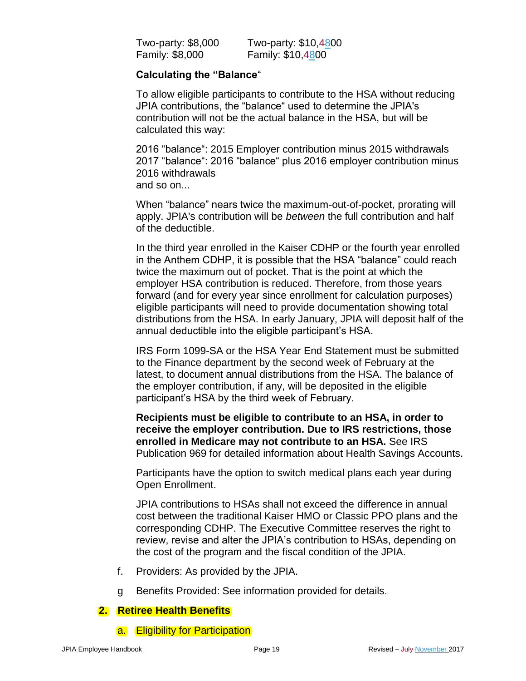| Two-party: \$8,000     | Two-party: \$10,4800 |
|------------------------|----------------------|
| <b>Family: \$8,000</b> | Family: \$10,4800    |

# **Calculating the "Balance**"

To allow eligible participants to contribute to the HSA without reducing JPIA contributions, the "balance" used to determine the JPIA's contribution will not be the actual balance in the HSA, but will be calculated this way:

2016 "balance": 2015 Employer contribution minus 2015 withdrawals 2017 "balance": 2016 "balance" plus 2016 employer contribution minus 2016 withdrawals and so on...

When "balance" nears twice the maximum-out-of-pocket, prorating will apply. JPIA's contribution will be *between* the full contribution and half of the deductible.

In the third year enrolled in the Kaiser CDHP or the fourth year enrolled in the Anthem CDHP, it is possible that the HSA "balance" could reach twice the maximum out of pocket. That is the point at which the employer HSA contribution is reduced. Therefore, from those years forward (and for every year since enrollment for calculation purposes) eligible participants will need to provide documentation showing total distributions from the HSA. In early January, JPIA will deposit half of the annual deductible into the eligible participant's HSA.

IRS Form 1099-SA or the HSA Year End Statement must be submitted to the Finance department by the second week of February at the latest, to document annual distributions from the HSA. The balance of the employer contribution, if any, will be deposited in the eligible participant's HSA by the third week of February.

**Recipients must be eligible to contribute to an HSA, in order to receive the employer contribution. Due to IRS restrictions, those enrolled in Medicare may not contribute to an HSA.** See IRS Publication 969 for detailed information about Health Savings Accounts.

Participants have the option to switch medical plans each year during Open Enrollment.

JPIA contributions to HSAs shall not exceed the difference in annual cost between the traditional Kaiser HMO or Classic PPO plans and the corresponding CDHP. The Executive Committee reserves the right to review, revise and alter the JPIA's contribution to HSAs, depending on the cost of the program and the fiscal condition of the JPIA.

- f. Providers: As provided by the JPIA.
- g Benefits Provided: See information provided for details.

# **2. Retiree Health Benefits**

a. Eligibility for Participation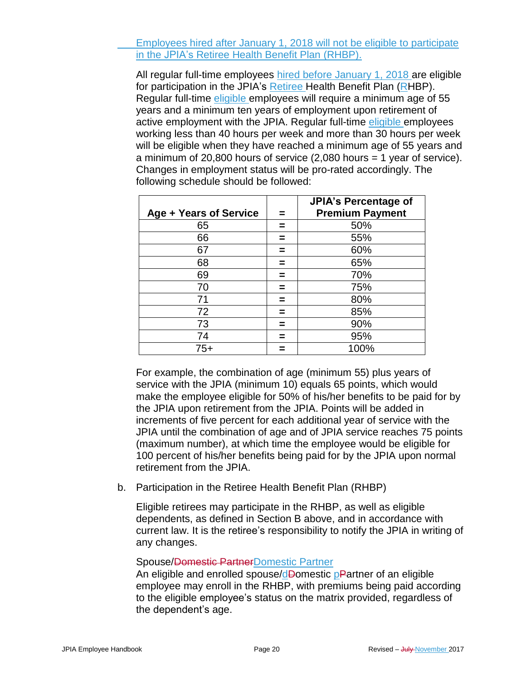Employees hired after January 1, 2018 will not be eligible to participate in the JPIA's Retiree Health Benefit Plan (RHBP).

All regular full-time employees hired before January 1, 2018 are eligible for participation in the JPIA's Retiree Health Benefit Plan (RHBP). Regular full-time eligible employees will require a minimum age of 55 years and a minimum ten years of employment upon retirement of active employment with the JPIA. Regular full-time eligible employees working less than 40 hours per week and more than 30 hours per week will be eligible when they have reached a minimum age of 55 years and a minimum of 20,800 hours of service (2,080 hours = 1 year of service). Changes in employment status will be pro-rated accordingly. The following schedule should be followed:

| Age + Years of Service | JPIA's Percentage of<br><b>Premium Payment</b> |
|------------------------|------------------------------------------------|
| 65                     | 50%                                            |
| 66                     | 55%                                            |
| 67                     | 60%                                            |
| 68                     | 65%                                            |
| 69                     | 70%                                            |
| 70                     | 75%                                            |
| 71                     | 80%                                            |
| 72                     | 85%                                            |
| 73                     | 90%                                            |
| 74                     | 95%                                            |
| 75+                    | 100%                                           |

For example, the combination of age (minimum 55) plus years of service with the JPIA (minimum 10) equals 65 points, which would make the employee eligible for 50% of his/her benefits to be paid for by the JPIA upon retirement from the JPIA. Points will be added in increments of five percent for each additional year of service with the JPIA until the combination of age and of JPIA service reaches 75 points (maximum number), at which time the employee would be eligible for 100 percent of his/her benefits being paid for by the JPIA upon normal retirement from the JPIA.

b. Participation in the Retiree Health Benefit Plan (RHBP)

Eligible retirees may participate in the RHBP, as well as eligible dependents, as defined in Section B above, and in accordance with current law. It is the retiree's responsibility to notify the JPIA in writing of any changes.

### Spouse/Domestic PartnerDomestic Partner

An eligible and enrolled spouse/dDomestic pPartner of an eligible employee may enroll in the RHBP, with premiums being paid according to the eligible employee's status on the matrix provided, regardless of the dependent's age.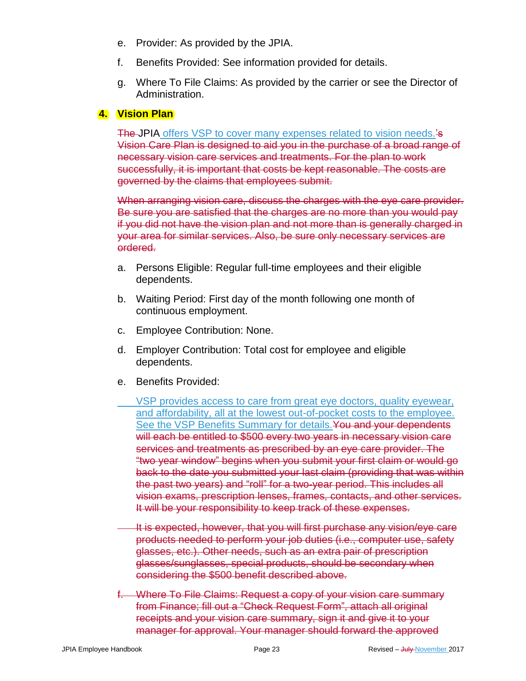- e. Provider: As provided by the JPIA.
- f. Benefits Provided: See information provided for details.
- g. Where To File Claims: As provided by the carrier or see the Director of Administration.

# **4. Vision Plan**

The JPIA offers VSP to cover many expenses related to vision needs.'s Vision Care Plan is designed to aid you in the purchase of a broad range of necessary vision care services and treatments. For the plan to work successfully, it is important that costs be kept reasonable. The costs are governed by the claims that employees submit.

When arranging vision care, discuss the charges with the eye care provider. Be sure you are satisfied that the charges are no more than you would pay if you did not have the vision plan and not more than is generally charged in your area for similar services. Also, be sure only necessary services are ordered.

- a. Persons Eligible: Regular full-time employees and their eligible dependents.
- b. Waiting Period: First day of the month following one month of continuous employment.
- c. Employee Contribution: None.
- d. Employer Contribution: Total cost for employee and eligible dependents.
- e. Benefits Provided:
	- VSP provides access to care from great eye doctors, quality eyewear, and affordability, all at the lowest out-of-pocket costs to the employee. See the VSP Benefits Summary for details. You and your dependents will each be entitled to \$500 every two years in necessary vision care services and treatments as prescribed by an eye care provider. The "two year window" begins when you submit your first claim or would go back to the date you submitted your last claim (providing that was within the past two years) and "roll" for a two-year period. This includes all vision exams, prescription lenses, frames, contacts, and other services. It will be your responsibility to keep track of these expenses.
- It is expected, however, that you will first purchase any vision/eye care products needed to perform your job duties (i.e., computer use, safety glasses, etc.). Other needs, such as an extra pair of prescription glasses/sunglasses, special products, should be secondary when considering the \$500 benefit described above.
- f. Where To File Claims: Request a copy of your vision care summary from Finance; fill out a "Check Request Form", attach all original receipts and your vision care summary, sign it and give it to your manager for approval. Your manager should forward the approved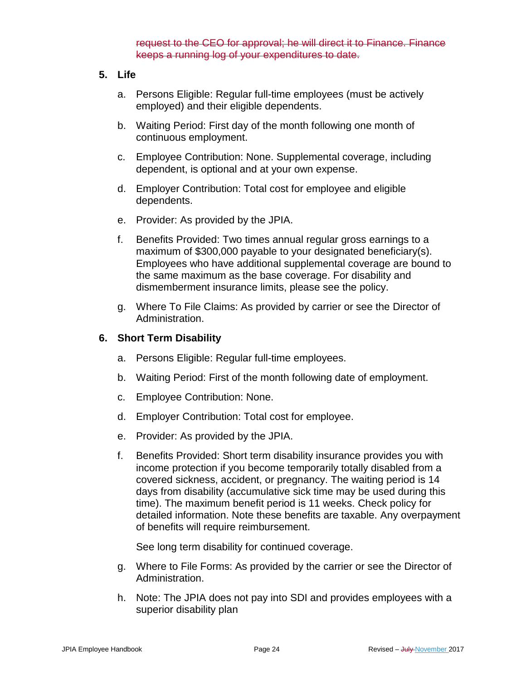request to the CEO for approval; he will direct it to Finance. Finance keeps a running log of your expenditures to date.

### **5. Life**

- a. Persons Eligible: Regular full-time employees (must be actively employed) and their eligible dependents.
- b. Waiting Period: First day of the month following one month of continuous employment.
- c. Employee Contribution: None. Supplemental coverage, including dependent, is optional and at your own expense.
- d. Employer Contribution: Total cost for employee and eligible dependents.
- e. Provider: As provided by the JPIA.
- f. Benefits Provided: Two times annual regular gross earnings to a maximum of \$300,000 payable to your designated beneficiary(s). Employees who have additional supplemental coverage are bound to the same maximum as the base coverage. For disability and dismemberment insurance limits, please see the policy.
- g. Where To File Claims: As provided by carrier or see the Director of Administration.

### **6. Short Term Disability**

- a. Persons Eligible: Regular full-time employees.
- b. Waiting Period: First of the month following date of employment.
- c. Employee Contribution: None.
- d. Employer Contribution: Total cost for employee.
- e. Provider: As provided by the JPIA.
- f. Benefits Provided: Short term disability insurance provides you with income protection if you become temporarily totally disabled from a covered sickness, accident, or pregnancy. The waiting period is 14 days from disability (accumulative sick time may be used during this time). The maximum benefit period is 11 weeks. Check policy for detailed information. Note these benefits are taxable. Any overpayment of benefits will require reimbursement.

See long term disability for continued coverage.

- g. Where to File Forms: As provided by the carrier or see the Director of Administration.
- h. Note: The JPIA does not pay into SDI and provides employees with a superior disability plan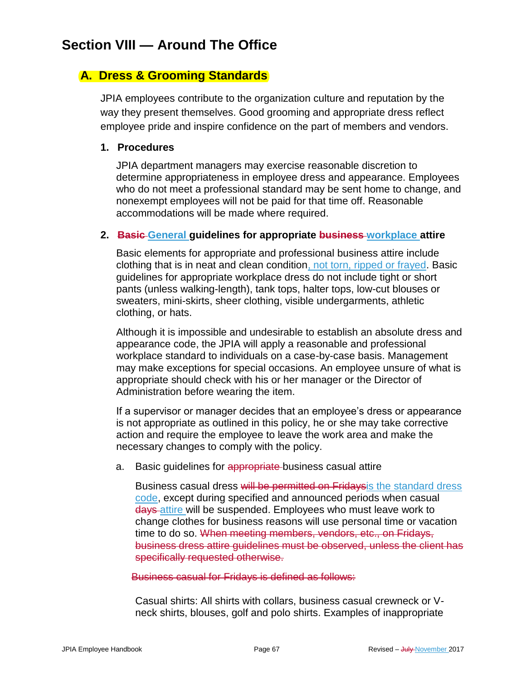# **Section VIII — Around The Office**

# **A. Dress & Grooming Standards**

JPIA employees contribute to the organization culture and reputation by the way they present themselves. Good grooming and appropriate dress reflect employee pride and inspire confidence on the part of members and vendors.

### **1. Procedures**

JPIA department managers may exercise reasonable discretion to determine appropriateness in employee dress and appearance. Employees who do not meet a professional standard may be sent home to change, and nonexempt employees will not be paid for that time off. Reasonable accommodations will be made where required.

### **2. Basic General guidelines for appropriate business workplace attire**

Basic elements for appropriate and professional business attire include clothing that is in neat and clean condition, not torn, ripped or frayed. Basic guidelines for appropriate workplace dress do not include tight or short pants (unless walking-length), tank tops, halter tops, low-cut blouses or sweaters, mini-skirts, sheer clothing, visible undergarments, athletic clothing, or hats.

Although it is impossible and undesirable to establish an absolute dress and appearance code, the JPIA will apply a reasonable and professional workplace standard to individuals on a case-by-case basis. Management may make exceptions for special occasions. An employee unsure of what is appropriate should check with his or her manager or the Director of Administration before wearing the item.

If a supervisor or manager decides that an employee's dress or appearance is not appropriate as outlined in this policy, he or she may take corrective action and require the employee to leave the work area and make the necessary changes to comply with the policy.

a. Basic guidelines for appropriate-business casual attire

Business casual dress will be permitted on Fridaysis the standard dress code, except during specified and announced periods when casual days attire will be suspended. Employees who must leave work to change clothes for business reasons will use personal time or vacation time to do so. When meeting members, vendors, etc., on Fridays, business dress attire guidelines must be observed, unless the client has specifically requested otherwise.

### Business casual for Fridays is defined as follows:

Casual shirts: All shirts with collars, business casual crewneck or Vneck shirts, blouses, golf and polo shirts. Examples of inappropriate